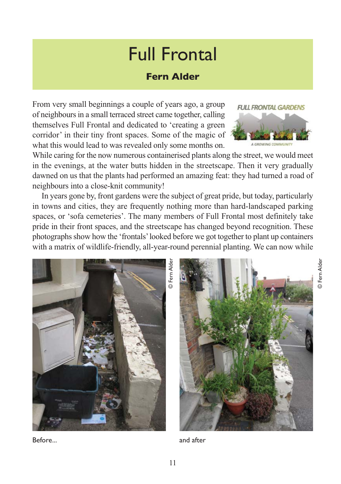## Full Frontal

## **Fern Alder**

From very small beginnings a couple of years ago, a group of neighbours in a small terraced street came together, calling themselves Full Frontal and dedicated to 'creating a green corridor' in their tiny front spaces. Some of the magic of what this would lead to was revealed only some months on.



© Fern Alder

බ

Fern Alder

While caring for the now numerous containerised plants along the street, we would meet in the evenings, at the water butts hidden in the streetscape. Then it very gradually dawned on us that the plants had performed an amazing feat: they had turned a road of neighbours into a close-knit community!

In years gone by, front gardens were the subject of great pride, but today, particularly in towns and cities, they are frequently nothing more than hard-landscaped parking spaces, or 'sofa cemeteries'. The many members of Full Frontal most definitely take pride in their front spaces, and the streetscape has changed beyond recognition. These photographs show how the 'frontals' looked before we got together to plant up containers with a matrix of wildlife-friendly, all-year-round perennial planting. We can now while



Before...

and after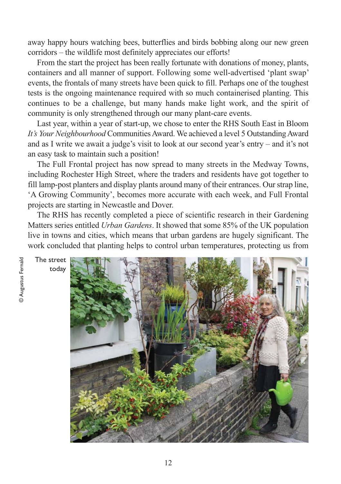away happy hours watching bees, butterflies and birds bobbing along our new green corridors – the wildlife most definitely appreciates our efforts!

From the start the project has been really fortunate with donations of money, plants, containers and all manner of support. Following some well-advertised 'plant swap' events, the frontals of many streets have been quick to fill. Perhaps one of the toughest tests is the ongoing maintenance required with so much containerised planting. This continues to be a challenge, but many hands make light work, and the spirit of community is only strengthened through our many plant-care events.

Last year, within a year of start-up, we chose to enter the RHS South East in Bloom *It's Your Neighbourhood* Communities Award. We achieved a level 5 Outstanding Award and as I write we await a judge's visit to look at our second year's entry – and it's not an easy task to maintain such a position!

The Full Frontal project has now spread to many streets in the Medway Towns, including Rochester High Street, where the traders and residents have got together to fill lamp-post planters and display plants around many of their entrances. Our strap line, 'A Growing Community', becomes more accurate with each week, and Full Frontal projects are starting in Newcastle and Dover.

The RHS has recently completed a piece of scientific research in their Gardening Matters series entitled *Urban Gardens*. It showed that some 85% of the UK population live in towns and cities, which means that urban gardens are hugely significant. The work concluded that planting helps to control urban temperatures, protecting us from